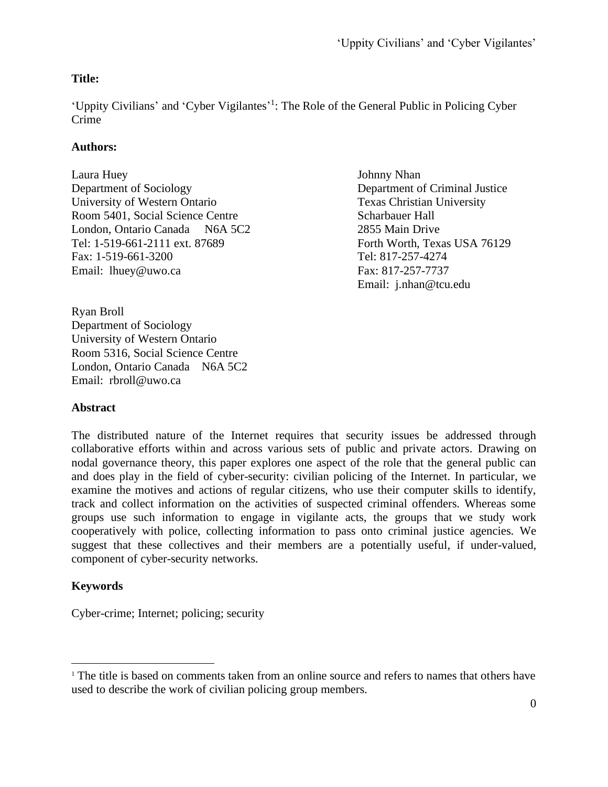# **Title:**

'Uppity Civilians' and 'Cyber Vigilantes'<sup>1</sup>: The Role of the General Public in Policing Cyber Crime

# **Authors:**

Laura Huey Johnny Nhan Department of Sociology Department of Criminal Justice University of Western Ontario Texas Christian University Room 5401, Social Science Centre Scharbauer Hall London, Ontario Canada N6A 5C2 2855 Main Drive Tel: 1-519-661-2111 ext. 87689 Forth Worth, Texas USA 76129 Fax: 1-519-661-3200 Tel: 817-257-4274 Email: lhuey@uwo.ca Fax: 817-257-7737

Email: j.nhan@tcu.edu

Ryan Broll Department of Sociology University of Western Ontario Room 5316, Social Science Centre London, Ontario Canada N6A 5C2 Email: rbroll@uwo.ca

# **Abstract**

The distributed nature of the Internet requires that security issues be addressed through collaborative efforts within and across various sets of public and private actors. Drawing on nodal governance theory, this paper explores one aspect of the role that the general public can and does play in the field of cyber-security: civilian policing of the Internet. In particular, we examine the motives and actions of regular citizens, who use their computer skills to identify, track and collect information on the activities of suspected criminal offenders. Whereas some groups use such information to engage in vigilante acts, the groups that we study work cooperatively with police, collecting information to pass onto criminal justice agencies. We suggest that these collectives and their members are a potentially useful, if under-valued, component of cyber-security networks.

# **Keywords**

Cyber-crime; Internet; policing; security

<sup>&</sup>lt;sup>1</sup> The title is based on comments taken from an online source and refers to names that others have used to describe the work of civilian policing group members.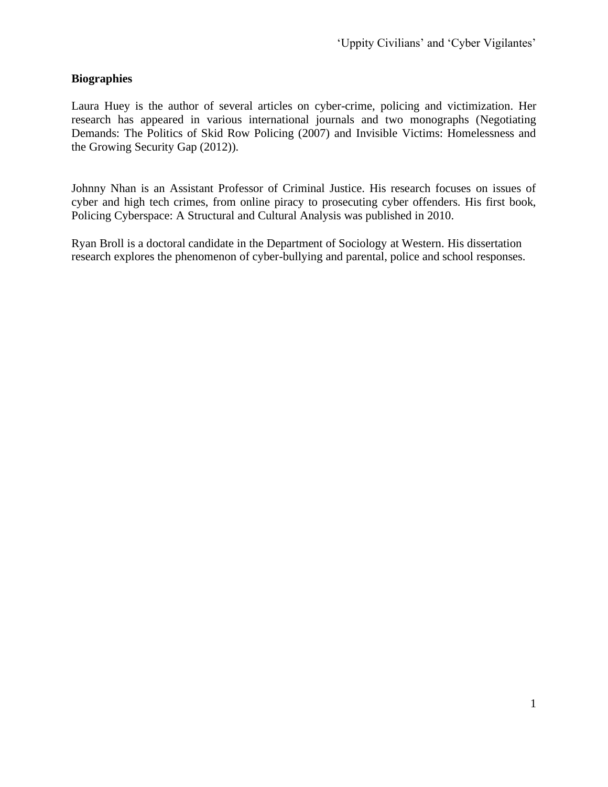## **Biographies**

Laura Huey is the author of several articles on cyber-crime, policing and victimization. Her research has appeared in various international journals and two monographs (Negotiating Demands: The Politics of Skid Row Policing (2007) and Invisible Victims: Homelessness and the Growing Security Gap (2012)).

Johnny Nhan is an Assistant Professor of Criminal Justice. His research focuses on issues of cyber and high tech crimes, from online piracy to prosecuting cyber offenders. His first book, Policing Cyberspace: A Structural and Cultural Analysis was published in 2010.

Ryan Broll is a doctoral candidate in the Department of Sociology at Western. His dissertation research explores the phenomenon of cyber-bullying and parental, police and school responses.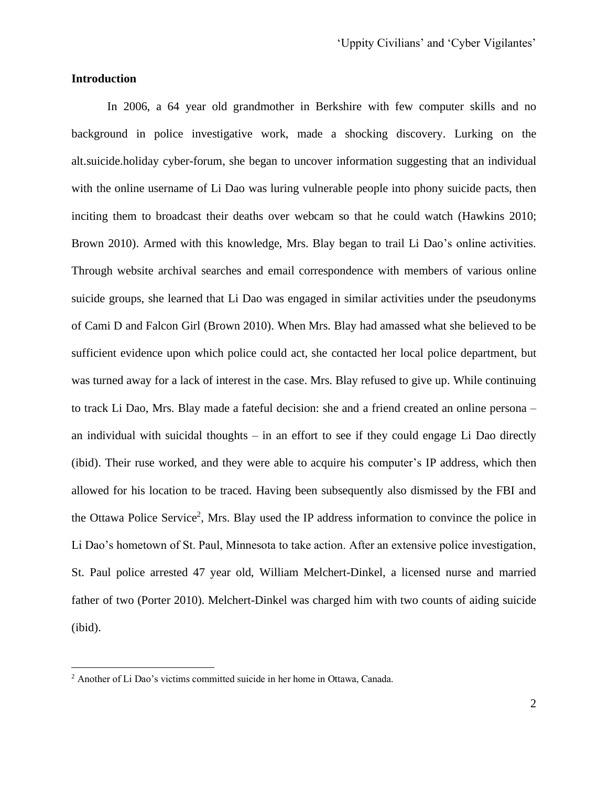### **Introduction**

In 2006, a 64 year old grandmother in Berkshire with few computer skills and no background in police investigative work, made a shocking discovery. Lurking on the alt.suicide.holiday cyber-forum, she began to uncover information suggesting that an individual with the online username of Li Dao was luring vulnerable people into phony suicide pacts, then inciting them to broadcast their deaths over webcam so that he could watch (Hawkins 2010; Brown 2010). Armed with this knowledge, Mrs. Blay began to trail Li Dao's online activities. Through website archival searches and email correspondence with members of various online suicide groups, she learned that Li Dao was engaged in similar activities under the pseudonyms of Cami D and Falcon Girl (Brown 2010). When Mrs. Blay had amassed what she believed to be sufficient evidence upon which police could act, she contacted her local police department, but was turned away for a lack of interest in the case. Mrs. Blay refused to give up. While continuing to track Li Dao, Mrs. Blay made a fateful decision: she and a friend created an online persona – an individual with suicidal thoughts – in an effort to see if they could engage Li Dao directly (ibid). Their ruse worked, and they were able to acquire his computer's IP address, which then allowed for his location to be traced. Having been subsequently also dismissed by the FBI and the Ottawa Police Service<sup>2</sup>, Mrs. Blay used the IP address information to convince the police in Li Dao's hometown of St. Paul, Minnesota to take action. After an extensive police investigation, St. Paul police arrested 47 year old, William Melchert-Dinkel, a licensed nurse and married father of two (Porter 2010). Melchert-Dinkel was charged him with two counts of aiding suicide (ibid).

<sup>2</sup> Another of Li Dao's victims committed suicide in her home in Ottawa, Canada.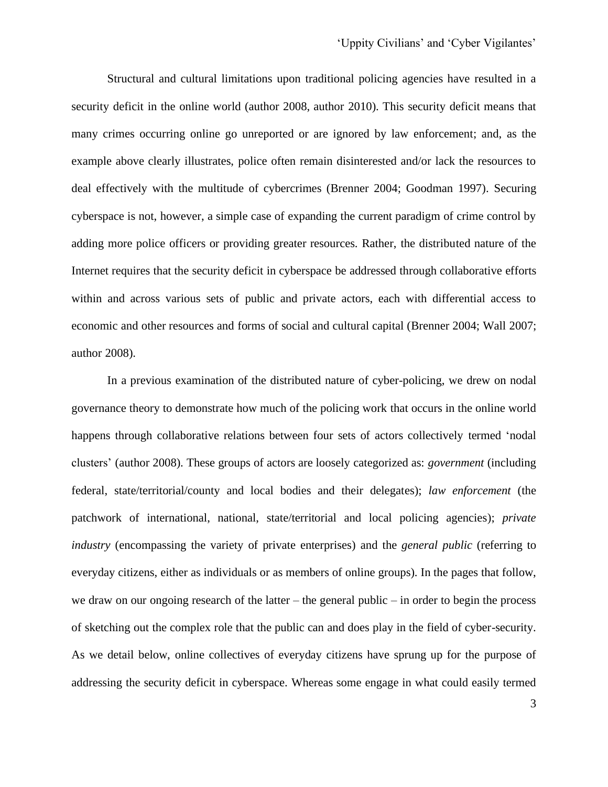Structural and cultural limitations upon traditional policing agencies have resulted in a security deficit in the online world (author 2008, author 2010). This security deficit means that many crimes occurring online go unreported or are ignored by law enforcement; and, as the example above clearly illustrates, police often remain disinterested and/or lack the resources to deal effectively with the multitude of cybercrimes (Brenner 2004; Goodman 1997). Securing cyberspace is not, however, a simple case of expanding the current paradigm of crime control by adding more police officers or providing greater resources. Rather, the distributed nature of the Internet requires that the security deficit in cyberspace be addressed through collaborative efforts within and across various sets of public and private actors, each with differential access to economic and other resources and forms of social and cultural capital (Brenner 2004; Wall 2007; author 2008).

In a previous examination of the distributed nature of cyber-policing, we drew on nodal governance theory to demonstrate how much of the policing work that occurs in the online world happens through collaborative relations between four sets of actors collectively termed 'nodal clusters' (author 2008). These groups of actors are loosely categorized as: *government* (including federal, state/territorial/county and local bodies and their delegates); *law enforcement* (the patchwork of international, national, state/territorial and local policing agencies); *private industry* (encompassing the variety of private enterprises) and the *general public* (referring to everyday citizens, either as individuals or as members of online groups). In the pages that follow, we draw on our ongoing research of the latter – the general public – in order to begin the process of sketching out the complex role that the public can and does play in the field of cyber-security. As we detail below, online collectives of everyday citizens have sprung up for the purpose of addressing the security deficit in cyberspace. Whereas some engage in what could easily termed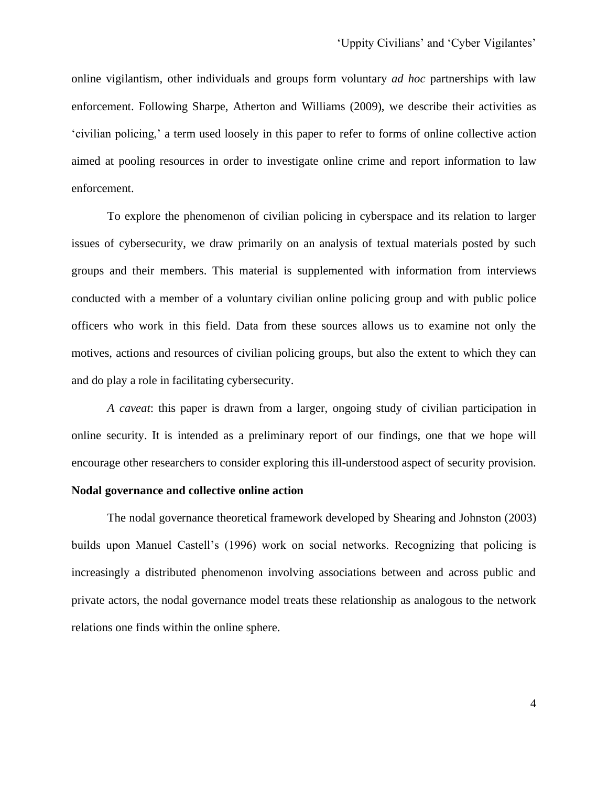online vigilantism, other individuals and groups form voluntary *ad hoc* partnerships with law enforcement. Following Sharpe, Atherton and Williams (2009), we describe their activities as 'civilian policing,' a term used loosely in this paper to refer to forms of online collective action aimed at pooling resources in order to investigate online crime and report information to law enforcement.

To explore the phenomenon of civilian policing in cyberspace and its relation to larger issues of cybersecurity, we draw primarily on an analysis of textual materials posted by such groups and their members. This material is supplemented with information from interviews conducted with a member of a voluntary civilian online policing group and with public police officers who work in this field. Data from these sources allows us to examine not only the motives, actions and resources of civilian policing groups, but also the extent to which they can and do play a role in facilitating cybersecurity.

*A caveat*: this paper is drawn from a larger, ongoing study of civilian participation in online security. It is intended as a preliminary report of our findings, one that we hope will encourage other researchers to consider exploring this ill-understood aspect of security provision.

## **Nodal governance and collective online action**

The nodal governance theoretical framework developed by Shearing and Johnston (2003) builds upon Manuel Castell's (1996) work on social networks. Recognizing that policing is increasingly a distributed phenomenon involving associations between and across public and private actors, the nodal governance model treats these relationship as analogous to the network relations one finds within the online sphere.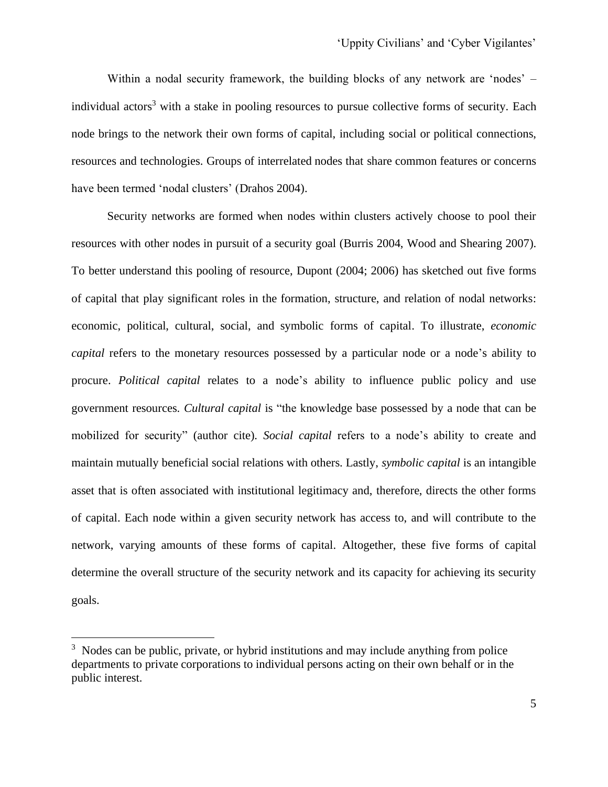Within a nodal security framework, the building blocks of any network are 'nodes' – individual actors<sup>3</sup> with a stake in pooling resources to pursue collective forms of security. Each node brings to the network their own forms of capital, including social or political connections, resources and technologies. Groups of interrelated nodes that share common features or concerns have been termed 'nodal clusters' (Drahos 2004).

Security networks are formed when nodes within clusters actively choose to pool their resources with other nodes in pursuit of a security goal (Burris 2004, Wood and Shearing 2007). To better understand this pooling of resource, Dupont (2004; 2006) has sketched out five forms of capital that play significant roles in the formation, structure, and relation of nodal networks: economic, political, cultural, social, and symbolic forms of capital. To illustrate, *economic capital* refers to the monetary resources possessed by a particular node or a node's ability to procure. *Political capital* relates to a node's ability to influence public policy and use government resources. *Cultural capital* is "the knowledge base possessed by a node that can be mobilized for security" (author cite). *Social capital* refers to a node's ability to create and maintain mutually beneficial social relations with others. Lastly, *symbolic capital* is an intangible asset that is often associated with institutional legitimacy and, therefore, directs the other forms of capital. Each node within a given security network has access to, and will contribute to the network, varying amounts of these forms of capital. Altogether, these five forms of capital determine the overall structure of the security network and its capacity for achieving its security goals.

 $3$  Nodes can be public, private, or hybrid institutions and may include anything from police departments to private corporations to individual persons acting on their own behalf or in the public interest.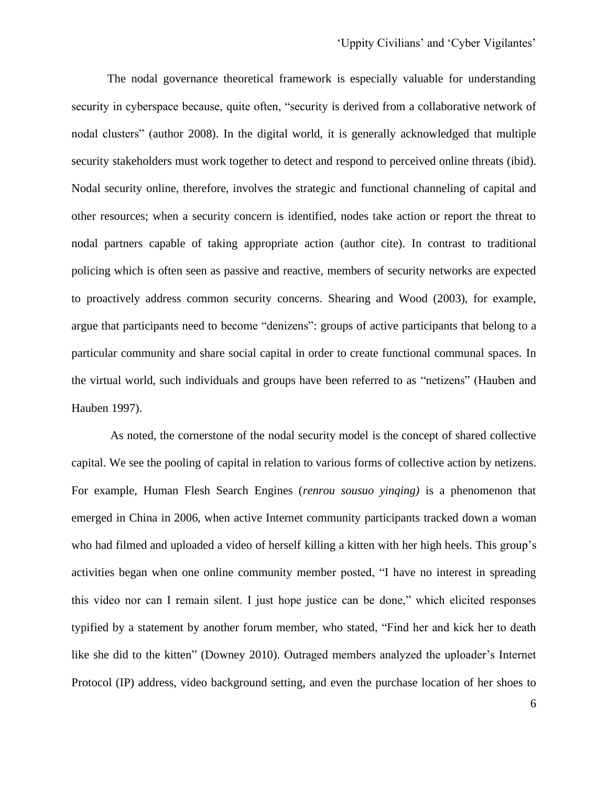The nodal governance theoretical framework is especially valuable for understanding security in cyberspace because, quite often, "security is derived from a collaborative network of nodal clusters" (author 2008). In the digital world, it is generally acknowledged that multiple security stakeholders must work together to detect and respond to perceived online threats (ibid). Nodal security online, therefore, involves the strategic and functional channeling of capital and other resources; when a security concern is identified, nodes take action or report the threat to nodal partners capable of taking appropriate action (author cite). In contrast to traditional policing which is often seen as passive and reactive, members of security networks are expected to proactively address common security concerns. Shearing and Wood (2003), for example, argue that participants need to become "denizens": groups of active participants that belong to a particular community and share social capital in order to create functional communal spaces. In the virtual world, such individuals and groups have been referred to as "netizens" (Hauben and Hauben 1997).

As noted, the cornerstone of the nodal security model is the concept of shared collective capital. We see the pooling of capital in relation to various forms of collective action by netizens. For example, Human Flesh Search Engines (*renrou sousuo yinqing)* is a phenomenon that emerged in China in 2006, when active Internet community participants tracked down a woman who had filmed and uploaded a video of herself killing a kitten with her high heels. This group's activities began when one online community member posted, "I have no interest in spreading this video nor can I remain silent. I just hope justice can be done," which elicited responses typified by a statement by another forum member, who stated, "Find her and kick her to death like she did to the kitten" (Downey 2010). Outraged members analyzed the uploader's Internet Protocol (IP) address, video background setting, and even the purchase location of her shoes to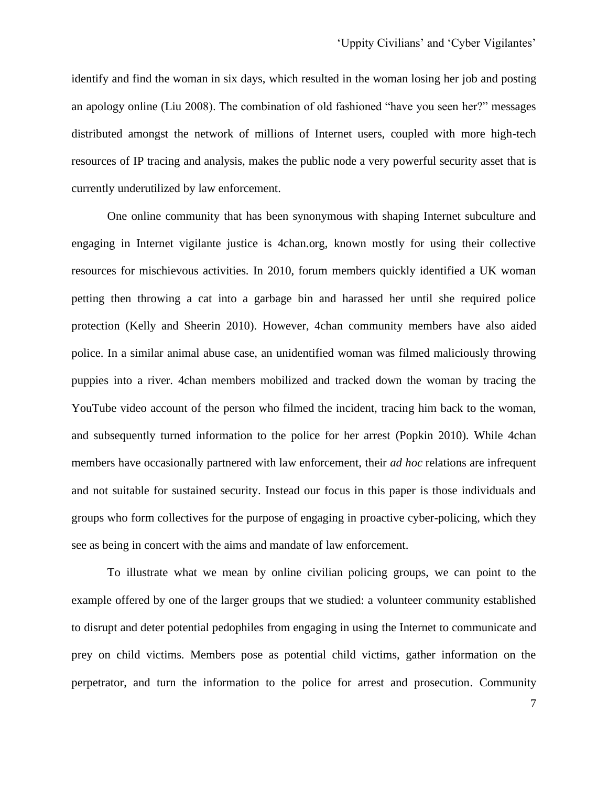identify and find the woman in six days, which resulted in the woman losing her job and posting an apology online (Liu 2008). The combination of old fashioned "have you seen her?" messages distributed amongst the network of millions of Internet users, coupled with more high-tech resources of IP tracing and analysis, makes the public node a very powerful security asset that is currently underutilized by law enforcement.

One online community that has been synonymous with shaping Internet subculture and engaging in Internet vigilante justice is 4chan.org, known mostly for using their collective resources for mischievous activities. In 2010, forum members quickly identified a UK woman petting then throwing a cat into a garbage bin and harassed her until she required police protection (Kelly and Sheerin 2010). However, 4chan community members have also aided police. In a similar animal abuse case, an unidentified woman was filmed maliciously throwing puppies into a river. 4chan members mobilized and tracked down the woman by tracing the YouTube video account of the person who filmed the incident, tracing him back to the woman, and subsequently turned information to the police for her arrest (Popkin 2010). While 4chan members have occasionally partnered with law enforcement, their *ad hoc* relations are infrequent and not suitable for sustained security. Instead our focus in this paper is those individuals and groups who form collectives for the purpose of engaging in proactive cyber-policing, which they see as being in concert with the aims and mandate of law enforcement.

To illustrate what we mean by online civilian policing groups, we can point to the example offered by one of the larger groups that we studied: a volunteer community established to disrupt and deter potential pedophiles from engaging in using the Internet to communicate and prey on child victims. Members pose as potential child victims, gather information on the perpetrator, and turn the information to the police for arrest and prosecution. Community

7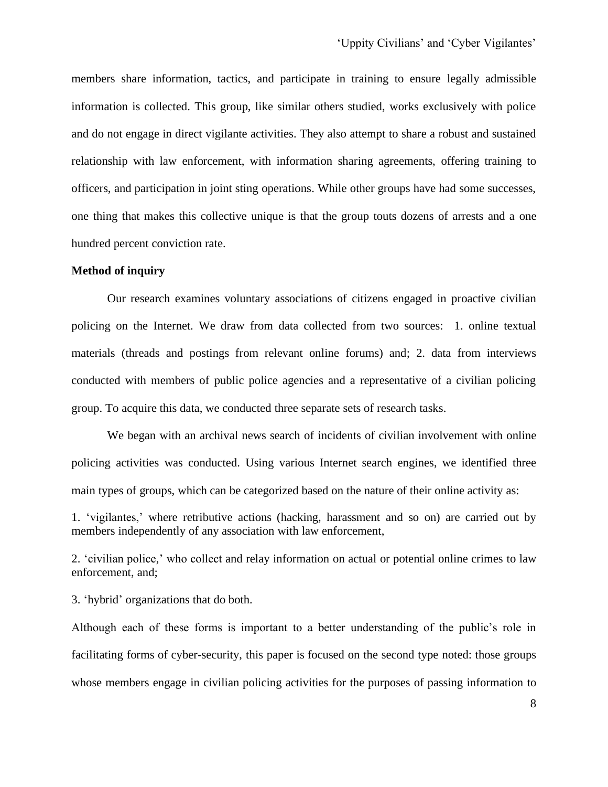members share information, tactics, and participate in training to ensure legally admissible information is collected. This group, like similar others studied, works exclusively with police and do not engage in direct vigilante activities. They also attempt to share a robust and sustained relationship with law enforcement, with information sharing agreements, offering training to officers, and participation in joint sting operations. While other groups have had some successes, one thing that makes this collective unique is that the group touts dozens of arrests and a one hundred percent conviction rate.

#### **Method of inquiry**

Our research examines voluntary associations of citizens engaged in proactive civilian policing on the Internet. We draw from data collected from two sources: 1. online textual materials (threads and postings from relevant online forums) and; 2. data from interviews conducted with members of public police agencies and a representative of a civilian policing group. To acquire this data, we conducted three separate sets of research tasks.

We began with an archival news search of incidents of civilian involvement with online policing activities was conducted. Using various Internet search engines, we identified three main types of groups, which can be categorized based on the nature of their online activity as:

1. 'vigilantes,' where retributive actions (hacking, harassment and so on) are carried out by members independently of any association with law enforcement,

2. 'civilian police,' who collect and relay information on actual or potential online crimes to law enforcement, and;

3. 'hybrid' organizations that do both.

Although each of these forms is important to a better understanding of the public's role in facilitating forms of cyber-security, this paper is focused on the second type noted: those groups whose members engage in civilian policing activities for the purposes of passing information to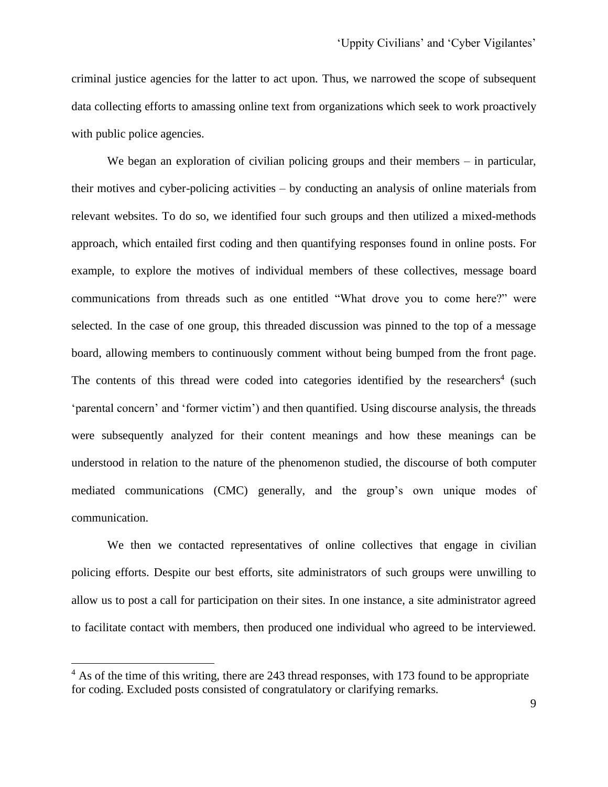criminal justice agencies for the latter to act upon. Thus, we narrowed the scope of subsequent data collecting efforts to amassing online text from organizations which seek to work proactively with public police agencies.

We began an exploration of civilian policing groups and their members – in particular, their motives and cyber-policing activities – by conducting an analysis of online materials from relevant websites. To do so, we identified four such groups and then utilized a mixed-methods approach, which entailed first coding and then quantifying responses found in online posts. For example, to explore the motives of individual members of these collectives, message board communications from threads such as one entitled "What drove you to come here?" were selected. In the case of one group, this threaded discussion was pinned to the top of a message board, allowing members to continuously comment without being bumped from the front page. The contents of this thread were coded into categories identified by the researchers<sup>4</sup> (such 'parental concern' and 'former victim') and then quantified. Using discourse analysis, the threads were subsequently analyzed for their content meanings and how these meanings can be understood in relation to the nature of the phenomenon studied, the discourse of both computer mediated communications (CMC) generally, and the group's own unique modes of communication.

We then we contacted representatives of online collectives that engage in civilian policing efforts. Despite our best efforts, site administrators of such groups were unwilling to allow us to post a call for participation on their sites. In one instance, a site administrator agreed to facilitate contact with members, then produced one individual who agreed to be interviewed.

 $4$  As of the time of this writing, there are 243 thread responses, with 173 found to be appropriate for coding. Excluded posts consisted of congratulatory or clarifying remarks.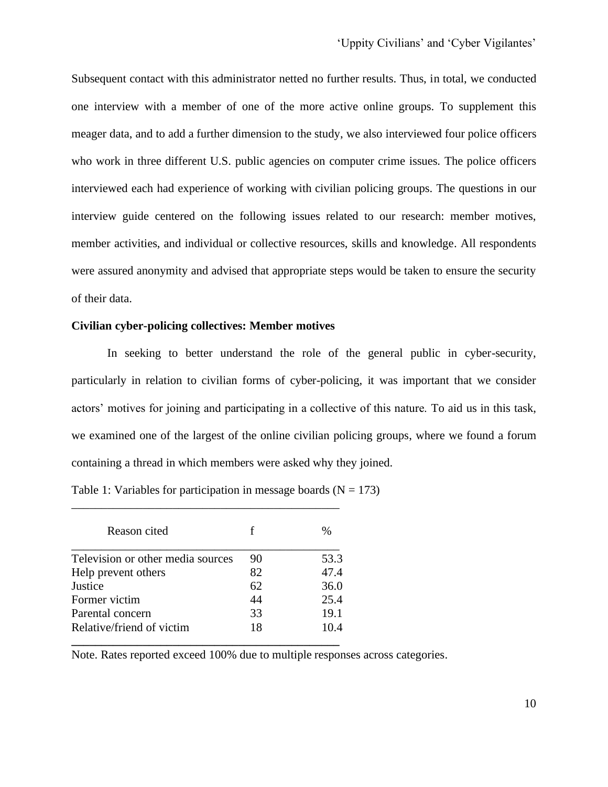Subsequent contact with this administrator netted no further results. Thus, in total, we conducted one interview with a member of one of the more active online groups. To supplement this meager data, and to add a further dimension to the study, we also interviewed four police officers who work in three different U.S. public agencies on computer crime issues. The police officers interviewed each had experience of working with civilian policing groups. The questions in our interview guide centered on the following issues related to our research: member motives, member activities, and individual or collective resources, skills and knowledge. All respondents were assured anonymity and advised that appropriate steps would be taken to ensure the security of their data.

### **Civilian cyber-policing collectives: Member motives**

In seeking to better understand the role of the general public in cyber-security, particularly in relation to civilian forms of cyber-policing, it was important that we consider actors' motives for joining and participating in a collective of this nature. To aid us in this task, we examined one of the largest of the online civilian policing groups, where we found a forum containing a thread in which members were asked why they joined.

| Table 1: Variables for participation in message boards ( $N = 173$ ) |  |  |
|----------------------------------------------------------------------|--|--|
|----------------------------------------------------------------------|--|--|

| Reason cited                      |    | $\frac{0}{0}$ |
|-----------------------------------|----|---------------|
| Television or other media sources | 90 | 53.3          |
| Help prevent others               | 82 | 47.4          |
| Justice                           | 62 | 36.0          |
| Former victim                     | 44 | 25.4          |
| Parental concern                  | 33 | 19.1          |
| Relative/friend of victim         | 18 | 10.4          |

\_\_\_\_\_\_\_\_\_\_\_\_\_\_\_\_\_\_\_\_\_\_\_\_\_\_\_\_\_\_\_\_\_\_\_\_\_\_\_\_\_\_\_\_\_

Note. Rates reported exceed 100% due to multiple responses across categories.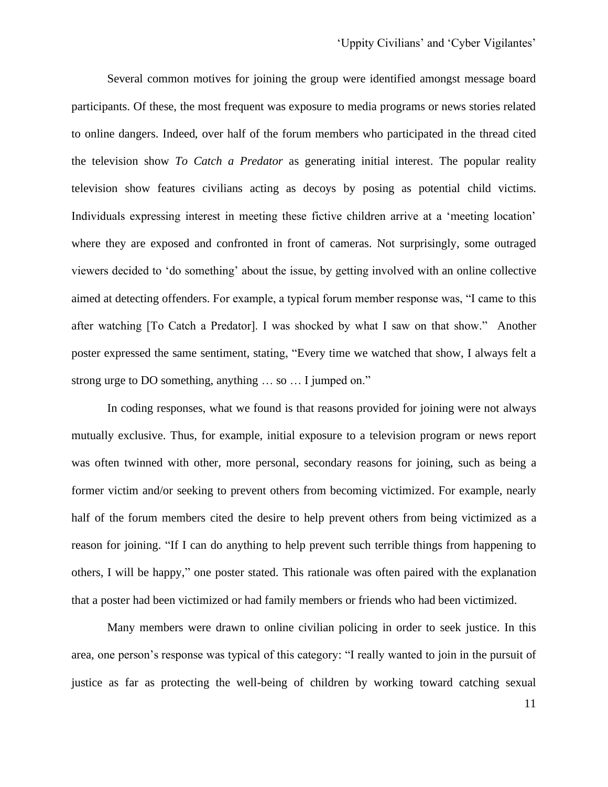Several common motives for joining the group were identified amongst message board participants. Of these, the most frequent was exposure to media programs or news stories related to online dangers. Indeed, over half of the forum members who participated in the thread cited the television show *To Catch a Predator* as generating initial interest. The popular reality television show features civilians acting as decoys by posing as potential child victims. Individuals expressing interest in meeting these fictive children arrive at a 'meeting location' where they are exposed and confronted in front of cameras. Not surprisingly, some outraged viewers decided to 'do something' about the issue, by getting involved with an online collective aimed at detecting offenders. For example, a typical forum member response was, "I came to this after watching [To Catch a Predator]. I was shocked by what I saw on that show." Another poster expressed the same sentiment, stating, "Every time we watched that show, I always felt a strong urge to DO something, anything … so … I jumped on."

In coding responses, what we found is that reasons provided for joining were not always mutually exclusive. Thus, for example, initial exposure to a television program or news report was often twinned with other, more personal, secondary reasons for joining, such as being a former victim and/or seeking to prevent others from becoming victimized. For example, nearly half of the forum members cited the desire to help prevent others from being victimized as a reason for joining. "If I can do anything to help prevent such terrible things from happening to others, I will be happy," one poster stated. This rationale was often paired with the explanation that a poster had been victimized or had family members or friends who had been victimized.

Many members were drawn to online civilian policing in order to seek justice. In this area, one person's response was typical of this category: "I really wanted to join in the pursuit of justice as far as protecting the well-being of children by working toward catching sexual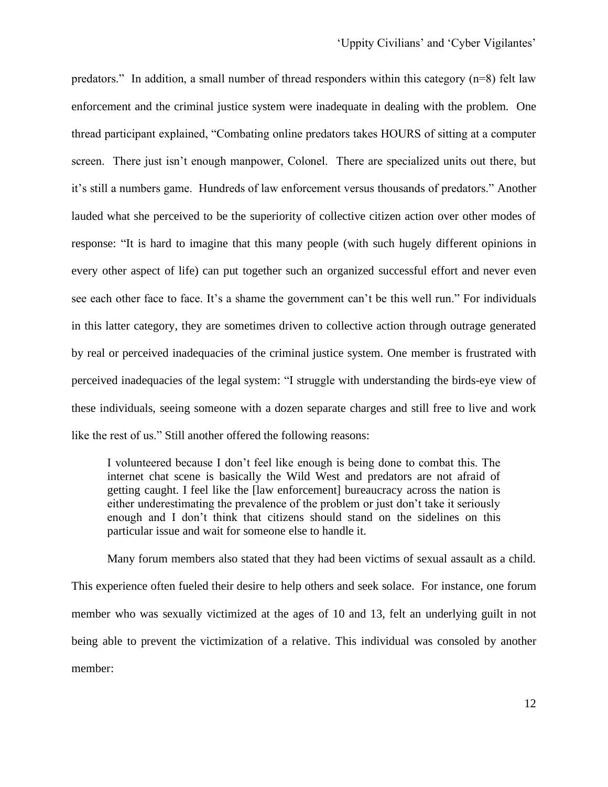predators." In addition, a small number of thread responders within this category (n=8) felt law enforcement and the criminal justice system were inadequate in dealing with the problem. One thread participant explained, "Combating online predators takes HOURS of sitting at a computer screen. There just isn't enough manpower, Colonel. There are specialized units out there, but it's still a numbers game. Hundreds of law enforcement versus thousands of predators." Another lauded what she perceived to be the superiority of collective citizen action over other modes of response: "It is hard to imagine that this many people (with such hugely different opinions in every other aspect of life) can put together such an organized successful effort and never even see each other face to face. It's a shame the government can't be this well run." For individuals in this latter category, they are sometimes driven to collective action through outrage generated by real or perceived inadequacies of the criminal justice system. One member is frustrated with perceived inadequacies of the legal system: "I struggle with understanding the birds-eye view of these individuals, seeing someone with a dozen separate charges and still free to live and work like the rest of us." Still another offered the following reasons:

I volunteered because I don't feel like enough is being done to combat this. The internet chat scene is basically the Wild West and predators are not afraid of getting caught. I feel like the [law enforcement] bureaucracy across the nation is either underestimating the prevalence of the problem or just don't take it seriously enough and I don't think that citizens should stand on the sidelines on this particular issue and wait for someone else to handle it.

Many forum members also stated that they had been victims of sexual assault as a child. This experience often fueled their desire to help others and seek solace. For instance, one forum member who was sexually victimized at the ages of 10 and 13, felt an underlying guilt in not being able to prevent the victimization of a relative. This individual was consoled by another member: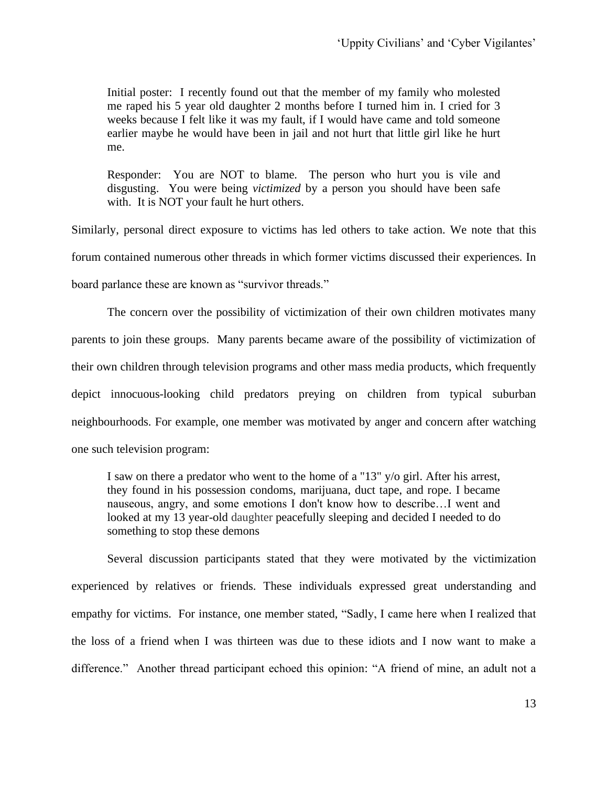Initial poster: I recently found out that the member of my family who molested me raped his 5 year old daughter 2 months before I turned him in. I cried for 3 weeks because I felt like it was my fault, if I would have came and told someone earlier maybe he would have been in jail and not hurt that little girl like he hurt me.

Responder: You are NOT to blame. The person who hurt you is vile and disgusting. You were being *victimized* by a person you should have been safe with. It is NOT your fault he hurt others.

Similarly, personal direct exposure to victims has led others to take action. We note that this forum contained numerous other threads in which former victims discussed their experiences. In board parlance these are known as "survivor threads."

The concern over the possibility of victimization of their own children motivates many parents to join these groups. Many parents became aware of the possibility of victimization of their own children through television programs and other mass media products, which frequently depict innocuous-looking child predators preying on children from typical suburban neighbourhoods. For example, one member was motivated by anger and concern after watching one such television program:

I saw on there a predator who went to the home of a "13" y/o girl. After his arrest, they found in his possession condoms, marijuana, duct tape, and rope. I became nauseous, angry, and some emotions I don't know how to describe…I went and looked at my 13 year-old daughter peacefully sleeping and decided I needed to do something to stop these demons

Several discussion participants stated that they were motivated by the victimization experienced by relatives or friends. These individuals expressed great understanding and empathy for victims. For instance, one member stated, "Sadly, I came here when I realized that the loss of a friend when I was thirteen was due to these idiots and I now want to make a difference." Another thread participant echoed this opinion: "A friend of mine, an adult not a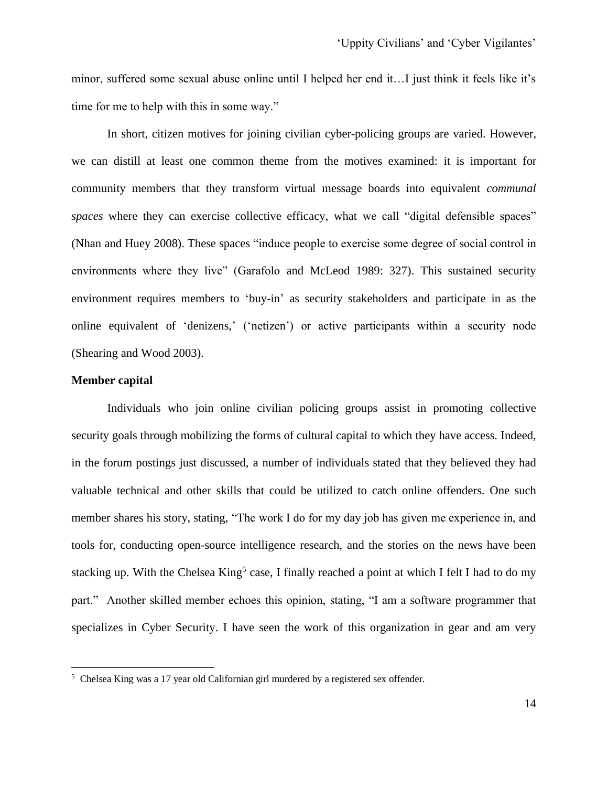minor, suffered some sexual abuse online until I helped her end it…I just think it feels like it's time for me to help with this in some way."

In short, citizen motives for joining civilian cyber-policing groups are varied. However, we can distill at least one common theme from the motives examined: it is important for community members that they transform virtual message boards into equivalent *communal*  spaces where they can exercise collective efficacy, what we call "digital defensible spaces" (Nhan and Huey 2008). These spaces "induce people to exercise some degree of social control in environments where they live" (Garafolo and McLeod 1989: 327). This sustained security environment requires members to 'buy-in' as security stakeholders and participate in as the online equivalent of 'denizens,' ('netizen') or active participants within a security node (Shearing and Wood 2003).

#### **Member capital**

Individuals who join online civilian policing groups assist in promoting collective security goals through mobilizing the forms of cultural capital to which they have access. Indeed, in the forum postings just discussed, a number of individuals stated that they believed they had valuable technical and other skills that could be utilized to catch online offenders. One such member shares his story, stating, "The work I do for my day job has given me experience in, and tools for, conducting open-source intelligence research, and the stories on the news have been stacking up. With the Chelsea King<sup>5</sup> case, I finally reached a point at which I felt I had to do my part." Another skilled member echoes this opinion, stating, "I am a software programmer that specializes in Cyber Security. I have seen the work of this organization in gear and am very

<sup>5</sup> Chelsea King was a 17 year old Californian girl murdered by a registered sex offender.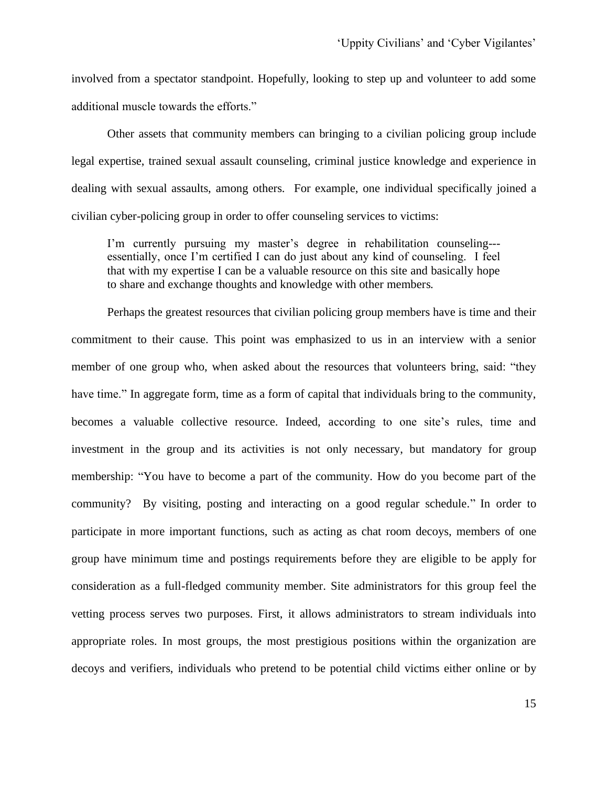involved from a spectator standpoint. Hopefully, looking to step up and volunteer to add some additional muscle towards the efforts."

Other assets that community members can bringing to a civilian policing group include legal expertise, trained sexual assault counseling, criminal justice knowledge and experience in dealing with sexual assaults, among others. For example, one individual specifically joined a civilian cyber-policing group in order to offer counseling services to victims:

I'm currently pursuing my master's degree in rehabilitation counseling-- essentially, once I'm certified I can do just about any kind of counseling. I feel that with my expertise I can be a valuable resource on this site and basically hope to share and exchange thoughts and knowledge with other members.

Perhaps the greatest resources that civilian policing group members have is time and their commitment to their cause. This point was emphasized to us in an interview with a senior member of one group who, when asked about the resources that volunteers bring, said: "they have time." In aggregate form, time as a form of capital that individuals bring to the community, becomes a valuable collective resource. Indeed, according to one site's rules, time and investment in the group and its activities is not only necessary, but mandatory for group membership: "You have to become a part of the community. How do you become part of the community? By visiting, posting and interacting on a good regular schedule." In order to participate in more important functions, such as acting as chat room decoys, members of one group have minimum time and postings requirements before they are eligible to be apply for consideration as a full-fledged community member. Site administrators for this group feel the vetting process serves two purposes. First, it allows administrators to stream individuals into appropriate roles. In most groups, the most prestigious positions within the organization are decoys and verifiers, individuals who pretend to be potential child victims either online or by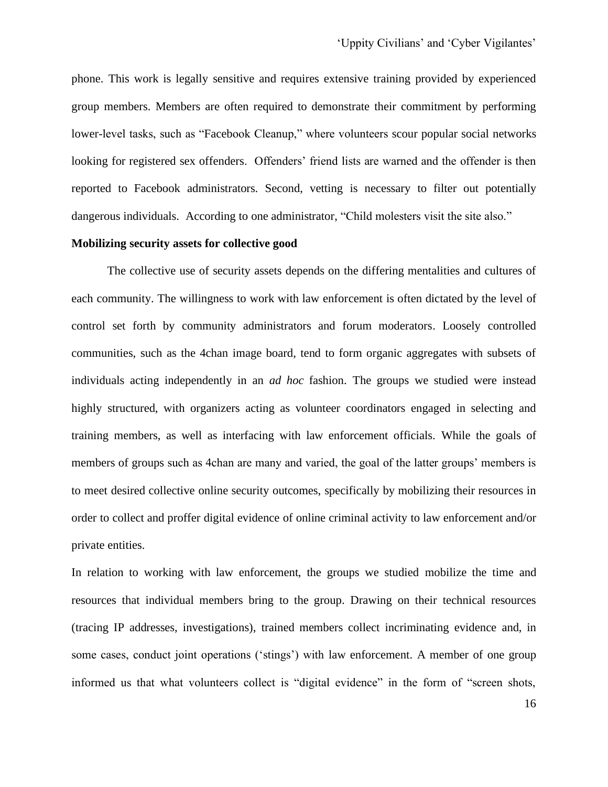phone. This work is legally sensitive and requires extensive training provided by experienced group members. Members are often required to demonstrate their commitment by performing lower-level tasks, such as "Facebook Cleanup," where volunteers scour popular social networks looking for registered sex offenders. Offenders' friend lists are warned and the offender is then reported to Facebook administrators. Second, vetting is necessary to filter out potentially dangerous individuals. According to one administrator, "Child molesters visit the site also."

#### **Mobilizing security assets for collective good**

The collective use of security assets depends on the differing mentalities and cultures of each community. The willingness to work with law enforcement is often dictated by the level of control set forth by community administrators and forum moderators. Loosely controlled communities, such as the 4chan image board, tend to form organic aggregates with subsets of individuals acting independently in an *ad hoc* fashion. The groups we studied were instead highly structured, with organizers acting as volunteer coordinators engaged in selecting and training members, as well as interfacing with law enforcement officials. While the goals of members of groups such as 4chan are many and varied, the goal of the latter groups' members is to meet desired collective online security outcomes, specifically by mobilizing their resources in order to collect and proffer digital evidence of online criminal activity to law enforcement and/or private entities.

In relation to working with law enforcement, the groups we studied mobilize the time and resources that individual members bring to the group. Drawing on their technical resources (tracing IP addresses, investigations), trained members collect incriminating evidence and, in some cases, conduct joint operations ('stings') with law enforcement. A member of one group informed us that what volunteers collect is "digital evidence" in the form of "screen shots,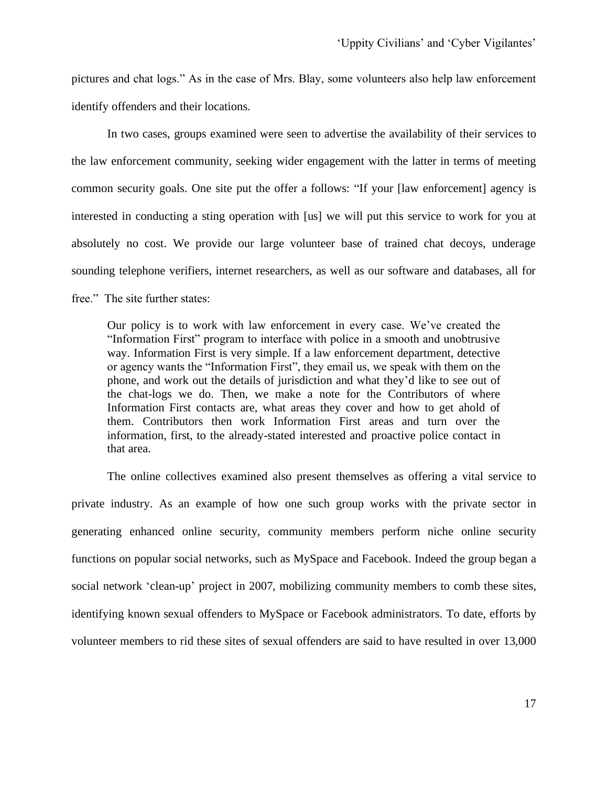pictures and chat logs." As in the case of Mrs. Blay, some volunteers also help law enforcement identify offenders and their locations.

In two cases, groups examined were seen to advertise the availability of their services to the law enforcement community, seeking wider engagement with the latter in terms of meeting common security goals. One site put the offer a follows: "If your [law enforcement] agency is interested in conducting a sting operation with [us] we will put this service to work for you at absolutely no cost. We provide our large volunteer base of trained chat decoys, underage sounding telephone verifiers, internet researchers, as well as our software and databases, all for free." The site further states:

Our policy is to work with law enforcement in every case. We've created the "Information First" program to interface with police in a smooth and unobtrusive way. Information First is very simple. If a law enforcement department, detective or agency wants the "Information First", they email us, we speak with them on the phone, and work out the details of jurisdiction and what they'd like to see out of the chat-logs we do. Then, we make a note for the Contributors of where Information First contacts are, what areas they cover and how to get ahold of them. Contributors then work Information First areas and turn over the information, first, to the already-stated interested and proactive police contact in that area.

The online collectives examined also present themselves as offering a vital service to private industry. As an example of how one such group works with the private sector in generating enhanced online security, community members perform niche online security functions on popular social networks, such as MySpace and Facebook. Indeed the group began a social network 'clean-up' project in 2007, mobilizing community members to comb these sites, identifying known sexual offenders to MySpace or Facebook administrators. To date, efforts by volunteer members to rid these sites of sexual offenders are said to have resulted in over 13,000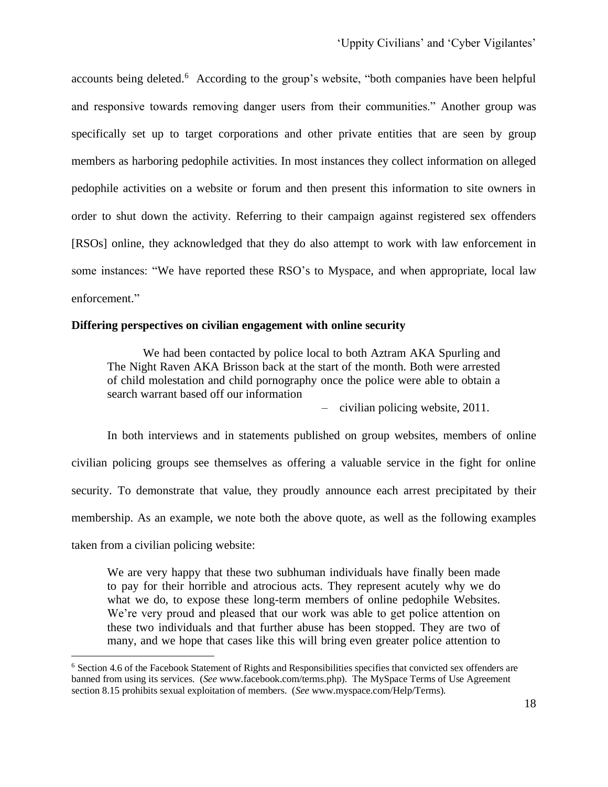accounts being deleted.<sup>6</sup> According to the group's website, "both companies have been helpful and responsive towards removing danger users from their communities." Another group was specifically set up to target corporations and other private entities that are seen by group members as harboring pedophile activities. In most instances they collect information on alleged pedophile activities on a website or forum and then present this information to site owners in order to shut down the activity. Referring to their campaign against registered sex offenders [RSOs] online, they acknowledged that they do also attempt to work with law enforcement in some instances: "We have reported these RSO's to Myspace, and when appropriate, local law enforcement."

#### **Differing perspectives on civilian engagement with online security**

We had been contacted by police local to both [Aztram](http://evil-unveiled.com/Aztram) AKA Spurling and [The Night Raven](http://evil-unveiled.com/The_Night_Raven) AKA Brisson back at the start of the month. Both were arrested of child molestation and child pornography once the police were able to obtain a search warrant based off our information

– civilian policing website, 2011.

In both interviews and in statements published on group websites, members of online civilian policing groups see themselves as offering a valuable service in the fight for online security. To demonstrate that value, they proudly announce each arrest precipitated by their membership. As an example, we note both the above quote, as well as the following examples taken from a civilian policing website:

We are very happy that these two subhuman individuals have finally been made to pay for their horrible and atrocious acts. They represent acutely why we do what we do, to expose these long-term members of online pedophile Websites. We're very proud and pleased that our work was able to get police attention on these two individuals and that further abuse has been stopped. They are two of many, and we hope that cases like this will bring even greater police attention to

<sup>6</sup> Section 4.6 of the Facebook Statement of Rights and Responsibilities specifies that convicted sex offenders are banned from using its services. (*See* www.facebook.com/terms.php). The MySpace Terms of Use Agreement section 8.15 prohibits sexual exploitation of members. (*See* www.myspace.com/Help/Terms).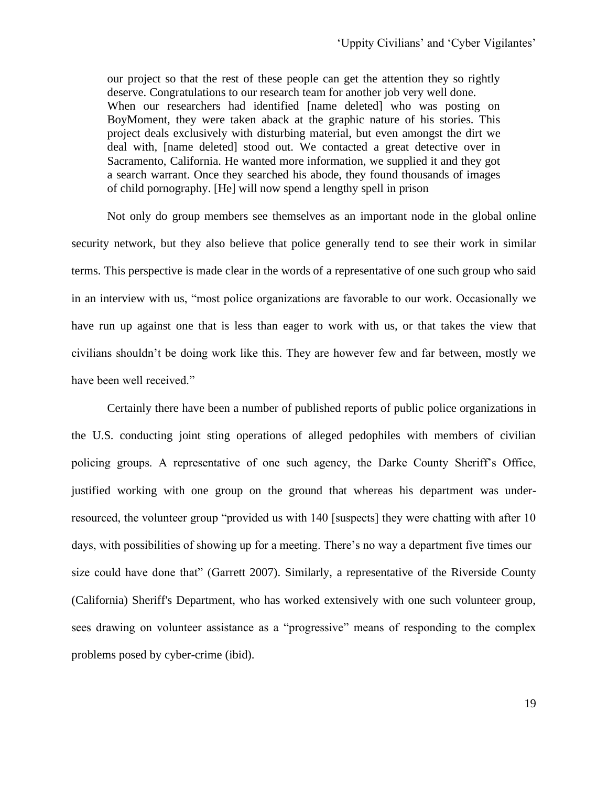our project so that the rest of these people can get the attention they so rightly deserve. Congratulations to our research team for another job very well done. When our researchers had identified [name deleted] who was posting on [BoyMoment,](http://evil-unveiled.com/BoyMoment) they were taken aback at the graphic nature of his stories. This project deals exclusively with disturbing material, but even amongst the dirt we deal with, [name deleted] stood out. We contacted a great detective over in Sacramento, California. He wanted more information, we supplied it and they got a search warrant. Once they searched his abode, they found thousands of images of child pornography. [He] will now spend a lengthy spell in prison

Not only do group members see themselves as an important node in the global online security network, but they also believe that police generally tend to see their work in similar terms. This perspective is made clear in the words of a representative of one such group who said in an interview with us, "most police organizations are favorable to our work. Occasionally we have run up against one that is less than eager to work with us, or that takes the view that civilians shouldn't be doing work like this. They are however few and far between, mostly we have been well received."

Certainly there have been a number of published reports of public police organizations in the U.S. conducting joint sting operations of alleged pedophiles with members of civilian policing groups. A representative of one such agency, the Darke County Sheriff's Office, justified working with one group on the ground that whereas his department was underresourced, the volunteer group "provided us with 140 [suspects] they were chatting with after 10 days, with possibilities of showing up for a meeting. There's no way a department five times our size could have done that" (Garrett 2007). Similarly, a representative of the Riverside County (California) Sheriff's Department, who has worked extensively with one such volunteer group, sees drawing on volunteer assistance as a "progressive" means of responding to the complex problems posed by cyber-crime (ibid).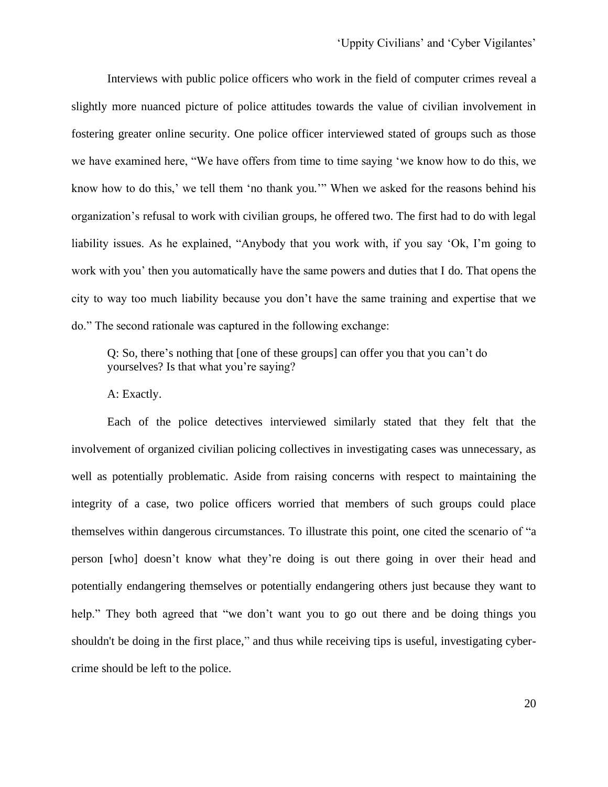'Uppity Civilians' and 'Cyber Vigilantes'

Interviews with public police officers who work in the field of computer crimes reveal a slightly more nuanced picture of police attitudes towards the value of civilian involvement in fostering greater online security. One police officer interviewed stated of groups such as those we have examined here, "We have offers from time to time saying 'we know how to do this, we know how to do this,' we tell them 'no thank you.'" When we asked for the reasons behind his organization's refusal to work with civilian groups, he offered two. The first had to do with legal liability issues. As he explained, "Anybody that you work with, if you say 'Ok, I'm going to work with you' then you automatically have the same powers and duties that I do. That opens the city to way too much liability because you don't have the same training and expertise that we do." The second rationale was captured in the following exchange:

Q: So, there's nothing that [one of these groups] can offer you that you can't do yourselves? Is that what you're saying?

A: Exactly.

Each of the police detectives interviewed similarly stated that they felt that the involvement of organized civilian policing collectives in investigating cases was unnecessary, as well as potentially problematic. Aside from raising concerns with respect to maintaining the integrity of a case, two police officers worried that members of such groups could place themselves within dangerous circumstances. To illustrate this point, one cited the scenario of "a person [who] doesn't know what they're doing is out there going in over their head and potentially endangering themselves or potentially endangering others just because they want to help." They both agreed that "we don't want you to go out there and be doing things you shouldn't be doing in the first place," and thus while receiving tips is useful, investigating cybercrime should be left to the police.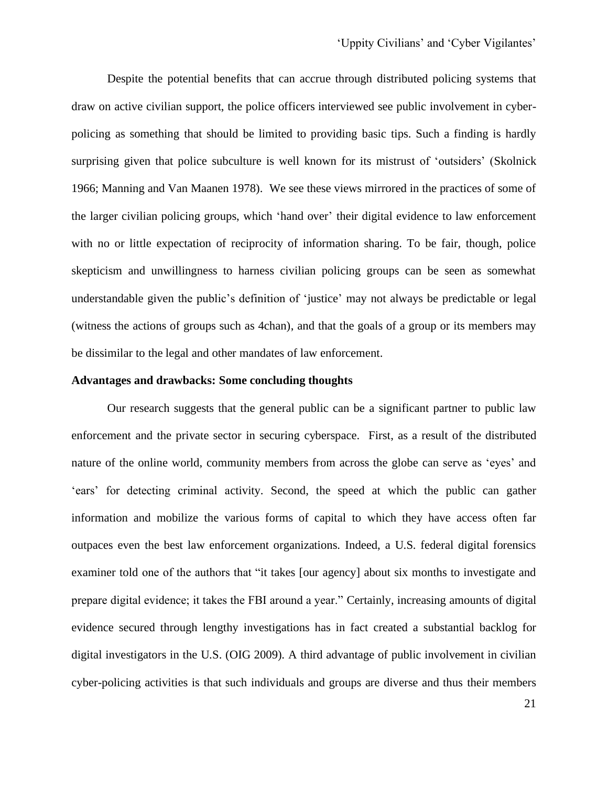Despite the potential benefits that can accrue through distributed policing systems that draw on active civilian support, the police officers interviewed see public involvement in cyberpolicing as something that should be limited to providing basic tips. Such a finding is hardly surprising given that police subculture is well known for its mistrust of 'outsiders' (Skolnick 1966; Manning and Van Maanen 1978). We see these views mirrored in the practices of some of the larger civilian policing groups, which 'hand over' their digital evidence to law enforcement with no or little expectation of reciprocity of information sharing. To be fair, though, police skepticism and unwillingness to harness civilian policing groups can be seen as somewhat understandable given the public's definition of 'justice' may not always be predictable or legal (witness the actions of groups such as 4chan), and that the goals of a group or its members may be dissimilar to the legal and other mandates of law enforcement.

#### **Advantages and drawbacks: Some concluding thoughts**

Our research suggests that the general public can be a significant partner to public law enforcement and the private sector in securing cyberspace. First, as a result of the distributed nature of the online world, community members from across the globe can serve as 'eyes' and 'ears' for detecting criminal activity. Second, the speed at which the public can gather information and mobilize the various forms of capital to which they have access often far outpaces even the best law enforcement organizations. Indeed, a U.S. federal digital forensics examiner told one of the authors that "it takes [our agency] about six months to investigate and prepare digital evidence; it takes the FBI around a year." Certainly, increasing amounts of digital evidence secured through lengthy investigations has in fact created a substantial backlog for digital investigators in the U.S. (OIG 2009). A third advantage of public involvement in civilian cyber-policing activities is that such individuals and groups are diverse and thus their members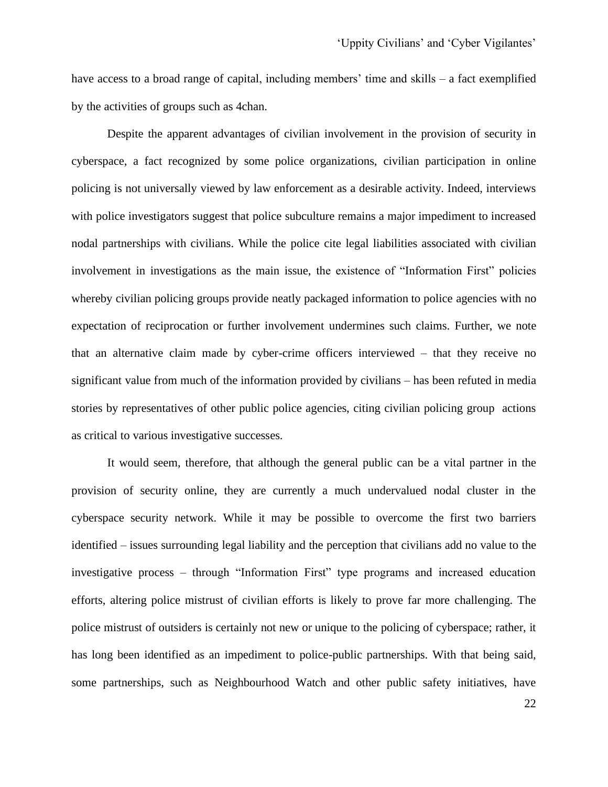have access to a broad range of capital, including members' time and skills – a fact exemplified by the activities of groups such as 4chan.

Despite the apparent advantages of civilian involvement in the provision of security in cyberspace, a fact recognized by some police organizations, civilian participation in online policing is not universally viewed by law enforcement as a desirable activity. Indeed, interviews with police investigators suggest that police subculture remains a major impediment to increased nodal partnerships with civilians. While the police cite legal liabilities associated with civilian involvement in investigations as the main issue, the existence of "Information First" policies whereby civilian policing groups provide neatly packaged information to police agencies with no expectation of reciprocation or further involvement undermines such claims. Further, we note that an alternative claim made by cyber-crime officers interviewed – that they receive no significant value from much of the information provided by civilians – has been refuted in media stories by representatives of other public police agencies, citing civilian policing group actions as critical to various investigative successes.

It would seem, therefore, that although the general public can be a vital partner in the provision of security online, they are currently a much undervalued nodal cluster in the cyberspace security network. While it may be possible to overcome the first two barriers identified – issues surrounding legal liability and the perception that civilians add no value to the investigative process – through "Information First" type programs and increased education efforts, altering police mistrust of civilian efforts is likely to prove far more challenging. The police mistrust of outsiders is certainly not new or unique to the policing of cyberspace; rather, it has long been identified as an impediment to police-public partnerships. With that being said, some partnerships, such as Neighbourhood Watch and other public safety initiatives, have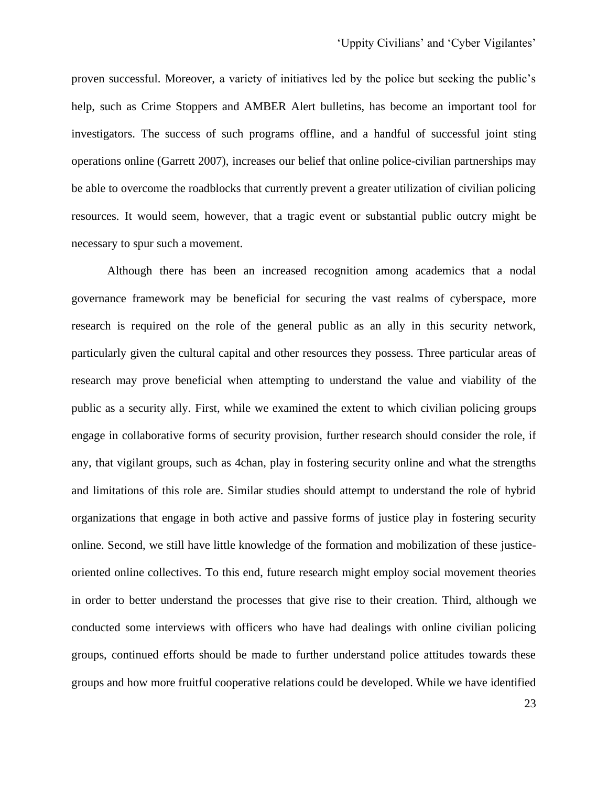proven successful. Moreover, a variety of initiatives led by the police but seeking the public's help, such as Crime Stoppers and AMBER Alert bulletins, has become an important tool for investigators. The success of such programs offline, and a handful of successful joint sting operations online (Garrett 2007), increases our belief that online police-civilian partnerships may be able to overcome the roadblocks that currently prevent a greater utilization of civilian policing resources. It would seem, however, that a tragic event or substantial public outcry might be necessary to spur such a movement.

Although there has been an increased recognition among academics that a nodal governance framework may be beneficial for securing the vast realms of cyberspace, more research is required on the role of the general public as an ally in this security network, particularly given the cultural capital and other resources they possess. Three particular areas of research may prove beneficial when attempting to understand the value and viability of the public as a security ally. First, while we examined the extent to which civilian policing groups engage in collaborative forms of security provision, further research should consider the role, if any, that vigilant groups, such as 4chan, play in fostering security online and what the strengths and limitations of this role are. Similar studies should attempt to understand the role of hybrid organizations that engage in both active and passive forms of justice play in fostering security online. Second, we still have little knowledge of the formation and mobilization of these justiceoriented online collectives. To this end, future research might employ social movement theories in order to better understand the processes that give rise to their creation. Third, although we conducted some interviews with officers who have had dealings with online civilian policing groups, continued efforts should be made to further understand police attitudes towards these groups and how more fruitful cooperative relations could be developed. While we have identified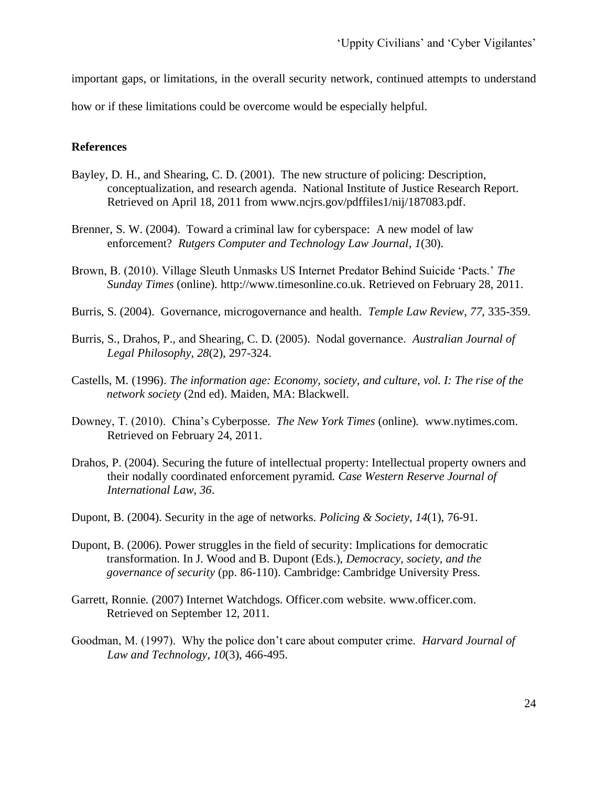important gaps, or limitations, in the overall security network, continued attempts to understand

how or if these limitations could be overcome would be especially helpful.

### **References**

- Bayley, D. H., and Shearing, C. D. (2001). The new structure of policing: Description, conceptualization, and research agenda. National Institute of Justice Research Report. Retrieved on April 18, 2011 from www.ncjrs.gov/pdffiles1/nij/187083.pdf.
- Brenner, S. W. (2004). Toward a criminal law for cyberspace: A new model of law enforcement? *Rutgers Computer and Technology Law Journal*, *1*(30).
- Brown, B. (2010). Village Sleuth Unmasks US Internet Predator Behind Suicide 'Pacts.' *The Sunday Times* (online). http://www.timesonline.co.uk. Retrieved on February 28, 2011.
- Burris, S. (2004). Governance, microgovernance and health. *Temple Law Review*, *77*, 335-359.
- Burris, S., Drahos, P., and Shearing, C. D. (2005). Nodal governance. *Australian Journal of Legal Philosophy*, *28*(2), 297-324.
- Castells, M. (1996). *The information age: Economy, society, and culture, vol. I: The rise of the network society* (2nd ed). Maiden, MA: Blackwell.
- Downey, T. (2010). China's Cyberposse. *The New York Times* (online)*.* www.nytimes.com. Retrieved on February 24, 2011.
- Drahos, P. (2004). Securing the future of intellectual property: Intellectual property owners and their nodally coordinated enforcement pyramid. *Case Western Reserve Journal of International Law*, *36*.
- Dupont, B. (2004). Security in the age of networks. *Policing & Society, 14*(1), 76-91.
- Dupont, B. (2006). Power struggles in the field of security: Implications for democratic transformation. In J. Wood and B. Dupont (Eds.), *Democracy, society, and the governance of security* (pp. 86-110). Cambridge: Cambridge University Press.
- Garrett, Ronnie. (2007) Internet Watchdogs. Officer.com website. www.officer.com. Retrieved on September 12, 2011.
- Goodman, M. (1997). Why the police don't care about computer crime. *Harvard Journal of Law and Technology*, *10*(3), 466-495.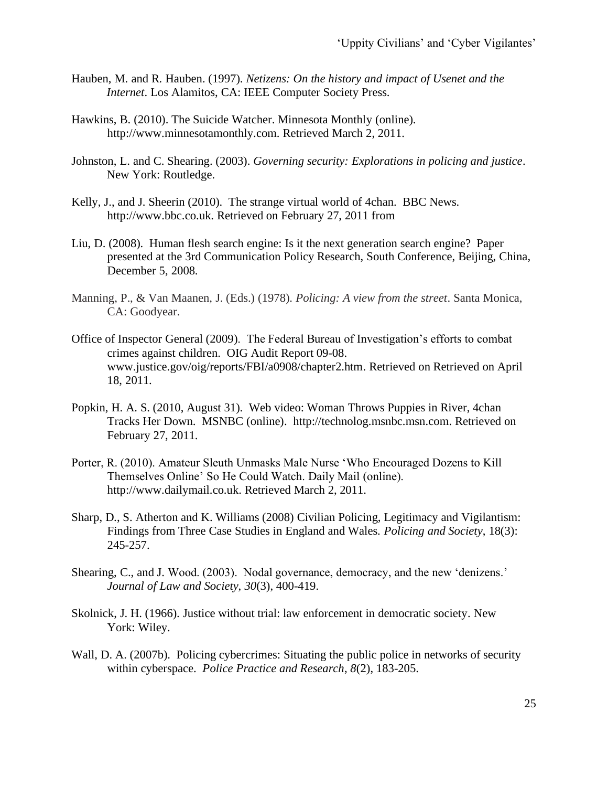- Hauben, M. and R. Hauben. (1997). *Netizens: On the history and impact of Usenet and the Internet*. Los Alamitos, CA: IEEE Computer Society Press.
- Hawkins, B. (2010). The Suicide Watcher. Minnesota Monthly (online). http://www.minnesotamonthly.com. Retrieved March 2, 2011.
- Johnston, L. and C. Shearing. (2003). *Governing security: Explorations in policing and justice*. New York: Routledge.
- Kelly, J., and J. Sheerin (2010). The strange virtual world of 4chan. BBC News. http://www.bbc.co.uk. Retrieved on February 27, 2011 from
- Liu, D. (2008). Human flesh search engine: Is it the next generation search engine? Paper presented at the 3rd Communication Policy Research, South Conference, Beijing, China, December 5, 2008.
- Manning, P., & Van Maanen, J. (Eds.) (1978). *Policing: A view from the street*. Santa Monica, CA: Goodyear.
- Office of Inspector General (2009). The Federal Bureau of Investigation's efforts to combat crimes against children. OIG Audit Report 09-08. www.justice.gov/oig/reports/FBI/a0908/chapter2.htm. Retrieved on Retrieved on April 18, 2011.
- Popkin, H. A. S. (2010, August 31). Web video: Woman Throws Puppies in River, 4chan Tracks Her Down. MSNBC (online). http://technolog.msnbc.msn.com. Retrieved on February 27, 2011.
- Porter, R. (2010). Amateur Sleuth Unmasks Male Nurse 'Who Encouraged Dozens to Kill Themselves Online' So He Could Watch. Daily Mail (online). http://www.dailymail.co.uk. Retrieved March 2, 2011.
- Sharp, D., S. Atherton and K. Williams (2008) Civilian Policing, Legitimacy and Vigilantism: Findings from Three Case Studies in England and Wales. *Policing and Society*, 18(3): 245-257.
- Shearing, C., and J. Wood. (2003). Nodal governance, democracy, and the new 'denizens.' *Journal of Law and Society*, *30*(3), 400-419.
- Skolnick, J. H. (1966). Justice without trial: law enforcement in democratic society. New York: Wiley.
- Wall, D. A. (2007b). Policing cybercrimes: Situating the public police in networks of security within cyberspace. *Police Practice and Research*, *8*(2), 183-205.